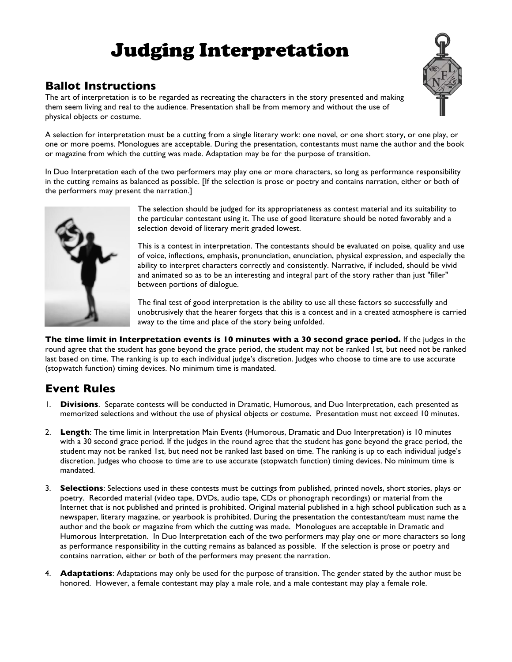## Judging Interpretation



## **Ballot Instructions**

The art of interpretation is to be regarded as recreating the characters in the story presented and making them seem living and real to the audience. Presentation shall be from memory and without the use of physical objects or costume.

A selection for interpretation must be a cutting from a single literary work: one novel, or one short story, or one play, or one or more poems. Monologues are acceptable. During the presentation, contestants must name the author and the book or magazine from which the cutting was made. Adaptation may be for the purpose of transition.

In Duo Interpretation each of the two performers may play one or more characters, so long as performance responsibility in the cutting remains as balanced as possible. [If the selection is prose or poetry and contains narration, either or both of the performers may present the narration.]



The selection should be judged for its appropriateness as contest material and its suitability to the particular contestant using it. The use of good literature should be noted favorably and a selection devoid of literary merit graded lowest.

This is a contest in interpretation. The contestants should be evaluated on poise, quality and use of voice, inflections, emphasis, pronunciation, enunciation, physical expression, and especially the ability to interpret characters correctly and consistently. Narrative, if included, should be vivid and animated so as to be an interesting and integral part of the story rather than just "filler" between portions of dialogue.

The final test of good interpretation is the ability to use all these factors so successfully and unobtrusively that the hearer forgets that this is a contest and in a created atmosphere is carried away to the time and place of the story being unfolded.

**The time limit in Interpretation events is 10 minutes with a 30 second grace period.** If the judges in the round agree that the student has gone beyond the grace period, the student may not be ranked 1st, but need not be ranked last based on time. The ranking is up to each individual judge's discretion. Judges who choose to time are to use accurate (stopwatch function) timing devices. No minimum time is mandated.

## **Event Rules**

- 1. **Divisions**. Separate contests will be conducted in Dramatic, Humorous, and Duo Interpretation, each presented as memorized selections and without the use of physical objects or costume. Presentation must not exceed 10 minutes.
- 2. **Length**: The time limit in Interpretation Main Events (Humorous, Dramatic and Duo Interpretation) is 10 minutes with a 30 second grace period. If the judges in the round agree that the student has gone beyond the grace period, the student may not be ranked 1st, but need not be ranked last based on time. The ranking is up to each individual judge's discretion. Judges who choose to time are to use accurate (stopwatch function) timing devices. No minimum time is mandated.
- 3. **Selections**: Selections used in these contests must be cuttings from published, printed novels, short stories, plays or poetry. Recorded material (video tape, DVDs, audio tape, CDs or phonograph recordings) or material from the Internet that is not published and printed is prohibited. Original material published in a high school publication such as a newspaper, literary magazine, or yearbook is prohibited. During the presentation the contestant/team must name the author and the book or magazine from which the cutting was made. Monologues are acceptable in Dramatic and Humorous Interpretation. In Duo Interpretation each of the two performers may play one or more characters so long as performance responsibility in the cutting remains as balanced as possible. If the selection is prose or poetry and contains narration, either or both of the performers may present the narration.
- 4. **Adaptations**: Adaptations may only be used for the purpose of transition. The gender stated by the author must be honored. However, a female contestant may play a male role, and a male contestant may play a female role.